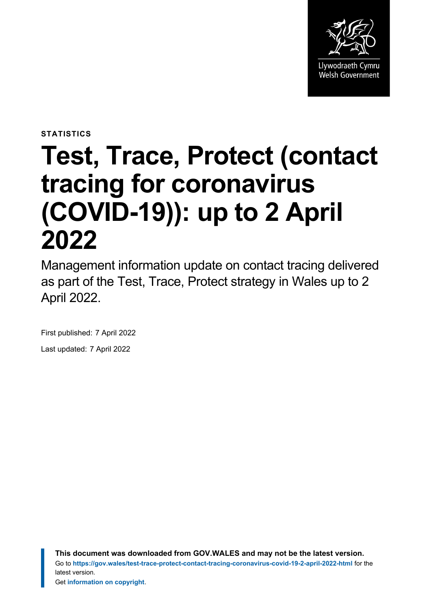

**STATISTICS**

# **Test, Trace, Protect (contact tracing for coronavirus (COVID-19)): up to 2 April 2022**

Management information update on contact tracing delivered as part of the Test, Trace, Protect strategy in Wales up to 2 April 2022.

First published: 7 April 2022 Last updated: 7 April 2022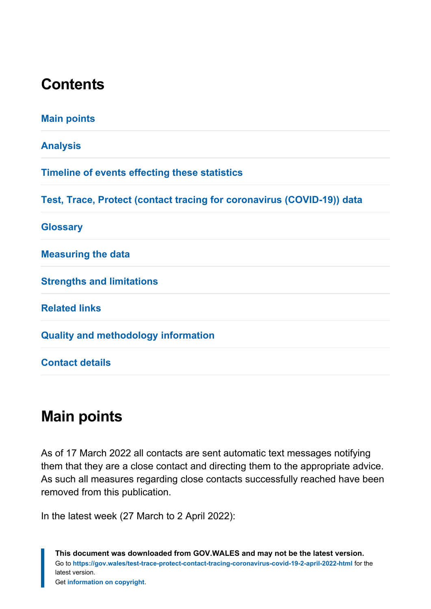# **Contents**

| <b>Main points</b>                                                     |
|------------------------------------------------------------------------|
| <b>Analysis</b>                                                        |
| Timeline of events effecting these statistics                          |
| Test, Trace, Protect (contact tracing for coronavirus (COVID-19)) data |
| <b>Glossary</b>                                                        |
| <b>Measuring the data</b>                                              |
| <b>Strengths and limitations</b>                                       |
| <b>Related links</b>                                                   |
| <b>Quality and methodology information</b>                             |
| <b>Contact details</b>                                                 |

# <span id="page-1-0"></span>**Main points**

As of 17 March 2022 all contacts are sent automatic text messages notifying them that they are a close contact and directing them to the appropriate advice. As such all measures regarding close contacts successfully reached have been removed from this publication.

In the latest week (27 March to 2 April 2022):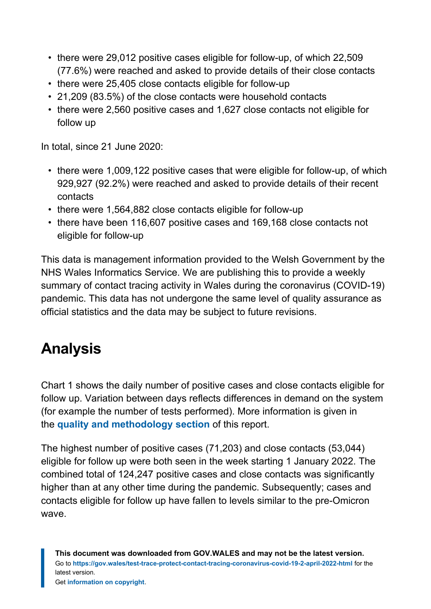- there were 29,012 positive cases eligible for follow-up, of which 22,509 (77.6%) were reached and asked to provide details of their close contacts
- there were 25,405 close contacts eligible for follow-up
- 21,209 (83.5%) of the close contacts were household contacts
- there were 2,560 positive cases and 1,627 close contacts not eligible for follow up

In total, since 21 June 2020:

- there were 1,009,122 positive cases that were eligible for follow-up, of which 929,927 (92.2%) were reached and asked to provide details of their recent contacts
- there were 1,564,882 close contacts eligible for follow-up
- there have been 116,607 positive cases and 169,168 close contacts not eligible for follow-up

This data is management information provided to the Welsh Government by the NHS Wales Informatics Service. We are publishing this to provide a weekly summary of contact tracing activity in Wales during the coronavirus (COVID-19) pandemic. This data has not undergone the same level of quality assurance as official statistics and the data may be subject to future revisions.

# <span id="page-2-0"></span>**Analysis**

Chart 1 shows the daily number of positive cases and close contacts eligible for follow up. Variation between days reflects differences in demand on the system (for example the number of tests performed). More information is given in the **[quality and methodology section](#page-17-0)** of this report.

The highest number of positive cases (71,203) and close contacts (53,044) eligible for follow up were both seen in the week starting 1 January 2022. The combined total of 124,247 positive cases and close contacts was significantly higher than at any other time during the pandemic. Subsequently; cases and contacts eligible for follow up have fallen to levels similar to the pre-Omicron wave.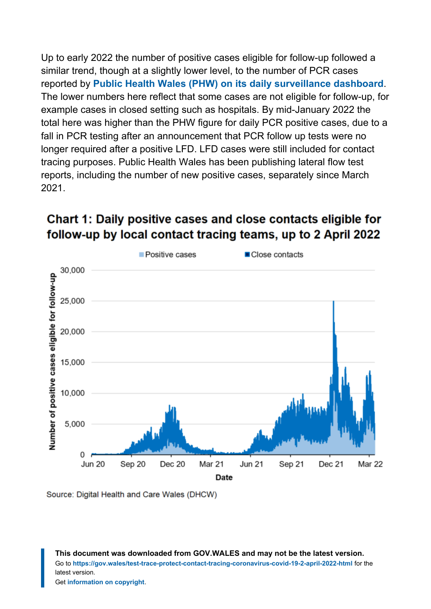Up to early 2022 the number of positive cases eligible for follow-up followed a similar trend, though at a slightly lower level, to the number of PCR cases reported by **[Public Health Wales \(PHW\) on its](https://public.tableau.com/app/profile/public.health.wales.health.protection/viz/RapidCOVID-19virology-Public/Headlinesummary) daily surveillance dashboard**. The lower numbers here reflect that some cases are not eligible for follow-up, for example cases in closed setting such as hospitals. By mid-January 2022 the total here was higher than the PHW figure for daily PCR positive cases, due to a fall in PCR testing after an announcement that PCR follow up tests were no longer required after a positive LFD. LFD cases were still included for contact tracing purposes. Public Health Wales has been publishing lateral flow test reports, including the number of new positive cases, separately since March 2021.

#### Chart 1: Daily positive cases and close contacts eligible for follow-up by local contact tracing teams, up to 2 April 2022



Source: Digital Health and Care Wales (DHCW)

**This document was downloaded from GOV.WALES and may not be the latest version.** Go to **<https://gov.wales/test-trace-protect-contact-tracing-coronavirus-covid-19-2-april-2022-html>** for the latest version. Get **[information on copyright](https://gov.wales/copyright-statement)**.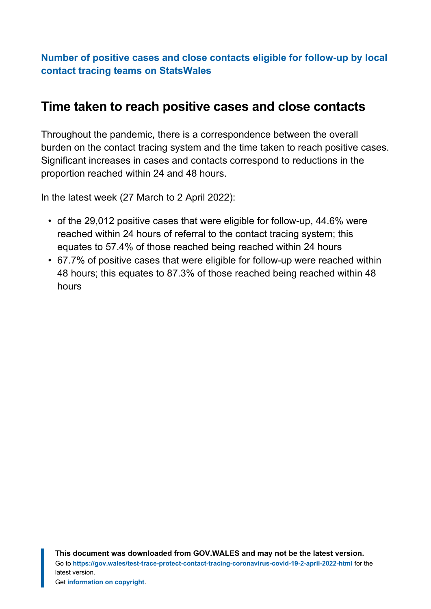**[Number of positive cases and close contacts eligible for follow-up by local](https://statswales.gov.wales/Catalogue/Health-and-Social-Care/coronavirus-covid-19/contact-tracing-for-coronavirus-covid-19/numberofpositivecasesandclosecontactseligibleforfollowup-by-localcontacttracingteams) [contact tracing teams](https://statswales.gov.wales/Catalogue/Health-and-Social-Care/coronavirus-covid-19/contact-tracing-for-coronavirus-covid-19/numberofpositivecasesandclosecontactseligibleforfollowup-by-localcontacttracingteams) on StatsWales**

#### **Time taken to reach positive cases and close contacts**

Throughout the pandemic, there is a correspondence between the overall burden on the contact tracing system and the time taken to reach positive cases. Significant increases in cases and contacts correspond to reductions in the proportion reached within 24 and 48 hours.

In the latest week (27 March to 2 April 2022):

- of the 29,012 positive cases that were eligible for follow-up, 44.6% were reached within 24 hours of referral to the contact tracing system; this equates to 57.4% of those reached being reached within 24 hours
- 67.7% of positive cases that were eligible for follow-up were reached within 48 hours; this equates to 87.3% of those reached being reached within 48 hours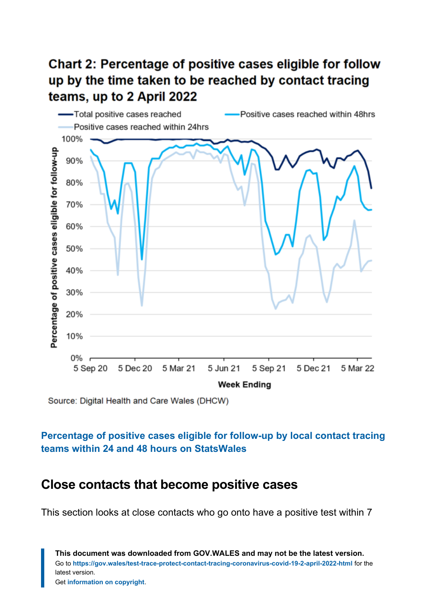# Chart 2: Percentage of positive cases eligible for follow up by the time taken to be reached by contact tracing teams, up to 2 April 2022



Source: Digital Health and Care Wales (DHCW)

#### **[Percentage of positive cases eligible for follow-up by local contact tracing](https://statswales.gov.wales/Catalogue/Health-and-Social-Care/coronavirus-covid-19/contact-tracing-for-coronavirus-covid-19/contacttracingtimesforpositivecasesandclosecontacts) teams [within 24 and 48 hours on StatsWales](https://statswales.gov.wales/Catalogue/Health-and-Social-Care/coronavirus-covid-19/contact-tracing-for-coronavirus-covid-19/contacttracingtimesforpositivecasesandclosecontacts)**

#### **Close contacts that become positive cases**

This section looks at close contacts who go onto have a positive test within 7

**This document was downloaded from GOV.WALES and may not be the latest version.** Go to **<https://gov.wales/test-trace-protect-contact-tracing-coronavirus-covid-19-2-april-2022-html>** for the latest version. Get **[information on copyright](https://gov.wales/copyright-statement)**.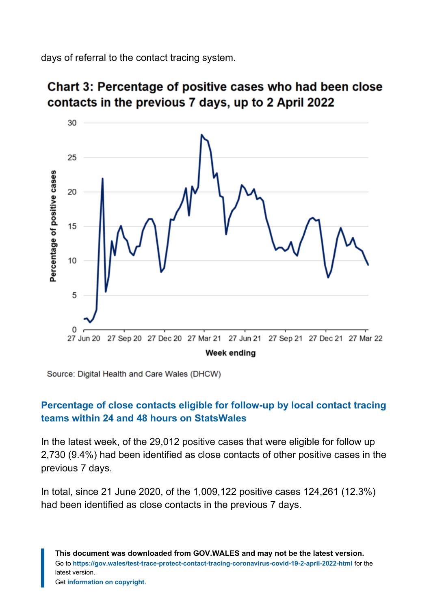days of referral to the contact tracing system.





Source: Digital Health and Care Wales (DHCW)

#### **[Percentage of close contacts eligible for follow-up by local contact tracing](https://statswales.gov.wales/Catalogue/Health-and-Social-Care/coronavirus-covid-19/contact-tracing-for-coronavirus-covid-19/contacttracingtimesforpositivecasesandclosecontacts) teams [within 24 and 48 hours on StatsWales](https://statswales.gov.wales/Catalogue/Health-and-Social-Care/coronavirus-covid-19/contact-tracing-for-coronavirus-covid-19/contacttracingtimesforpositivecasesandclosecontacts)**

In the latest week, of the 29,012 positive cases that were eligible for follow up 2,730 (9.4%) had been identified as close contacts of other positive cases in the previous 7 days.

In total, since 21 June 2020, of the 1,009,122 positive cases 124,261 (12.3%) had been identified as close contacts in the previous 7 days.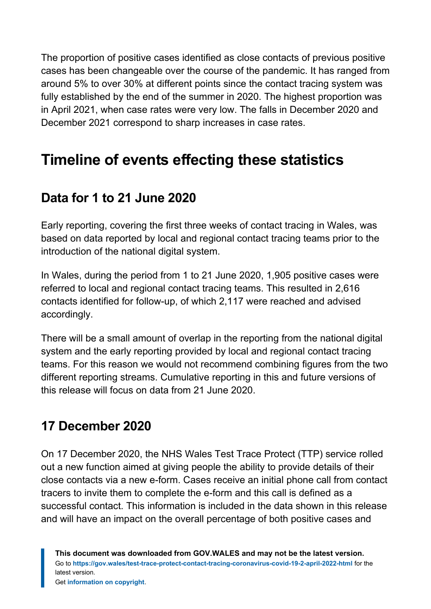The proportion of positive cases identified as close contacts of previous positive cases has been changeable over the course of the pandemic. It has ranged from around 5% to over 30% at different points since the contact tracing system was fully established by the end of the summer in 2020. The highest proportion was in April 2021, when case rates were very low. The falls in December 2020 and December 2021 correspond to sharp increases in case rates.

# <span id="page-7-0"></span>**Timeline of events effecting these statistics**

# **Data for 1 to 21 June 2020**

Early reporting, covering the first three weeks of contact tracing in Wales, was based on data reported by local and regional contact tracing teams prior to the introduction of the national digital system.

In Wales, during the period from 1 to 21 June 2020, 1,905 positive cases were referred to local and regional contact tracing teams. This resulted in 2,616 contacts identified for follow-up, of which 2,117 were reached and advised accordingly.

There will be a small amount of overlap in the reporting from the national digital system and the early reporting provided by local and regional contact tracing teams. For this reason we would not recommend combining figures from the two different reporting streams. Cumulative reporting in this and future versions of this release will focus on data from 21 June 2020.

# **17 December 2020**

On 17 December 2020, the NHS Wales Test Trace Protect (TTP) service rolled out a new function aimed at giving people the ability to provide details of their close contacts via a new e-form. Cases receive an initial phone call from contact tracers to invite them to complete the e-form and this call is defined as a successful contact. This information is included in the data shown in this release and will have an impact on the overall percentage of both positive cases and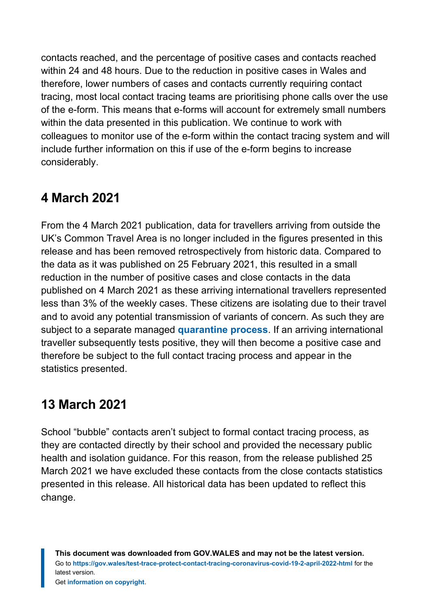contacts reached, and the percentage of positive cases and contacts reached within 24 and 48 hours. Due to the reduction in positive cases in Wales and therefore, lower numbers of cases and contacts currently requiring contact tracing, most local contact tracing teams are prioritising phone calls over the use of the e-form. This means that e-forms will account for extremely small numbers within the data presented in this publication. We continue to work with colleagues to monitor use of the e-form within the contact tracing system and will include further information on this if use of the e-form begins to increase considerably.

### **4 March 2021**

From the 4 March 2021 publication, data for travellers arriving from outside the UK's Common Travel Area is no longer included in the figures presented in this release and has been removed retrospectively from historic data. Compared to the data as it was published on 25 February 2021, this resulted in a small reduction in the number of positive cases and close contacts in the data published on 4 March 2021 as these arriving international travellers represented less than 3% of the weekly cases. These citizens are isolating due to their travel and to avoid any potential transmission of variants of concern. As such they are subject to a separate managed **[quarantine process](https://gov.wales/travel-wales-covid-19-testing)**. If an arriving international traveller subsequently tests positive, they will then become a positive case and therefore be subject to the full contact tracing process and appear in the statistics presented.

# **13 March 2021**

School "bubble" contacts aren't subject to formal contact tracing process, as they are contacted directly by their school and provided the necessary public health and isolation guidance. For this reason, from the release published 25 March 2021 we have excluded these contacts from the close contacts statistics presented in this release. All historical data has been updated to reflect this change.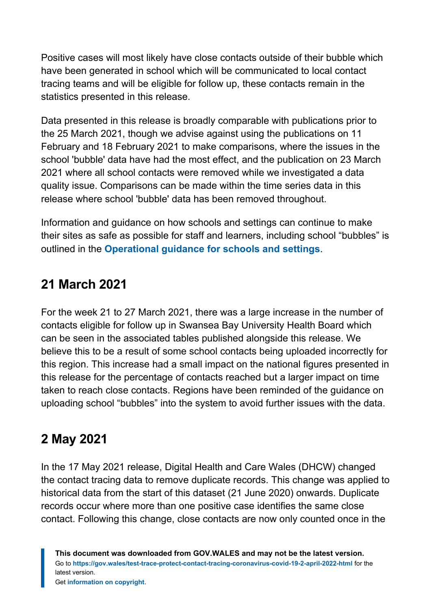Positive cases will most likely have close contacts outside of their bubble which have been generated in school which will be communicated to local contact tracing teams and will be eligible for follow up, these contacts remain in the statistics presented in this release.

Data presented in this release is broadly comparable with publications prior to the 25 March 2021, though we advise against using the publications on 11 February and 18 February 2021 to make comparisons, where the issues in the school 'bubble' data have had the most effect, and the publication on 23 March 2021 where all school contacts were removed while we investigated a data quality issue. Comparisons can be made within the time series data in this release where school 'bubble' data has been removed throughout.

Information and guidance on how schools and settings can continue to make their sites as safe as possible for staff and learners, including school "bubbles" is outlined in the **[Operational guidance for schools and settings](https://gov.wales/schools-coronavirus-guidance)**.

# **21 March 2021**

For the week 21 to 27 March 2021, there was a large increase in the number of contacts eligible for follow up in Swansea Bay University Health Board which can be seen in the associated tables published alongside this release. We believe this to be a result of some school contacts being uploaded incorrectly for this region. This increase had a small impact on the national figures presented in this release for the percentage of contacts reached but a larger impact on time taken to reach close contacts. Regions have been reminded of the guidance on uploading school "bubbles" into the system to avoid further issues with the data.

# **2 May 2021**

In the 17 May 2021 release, Digital Health and Care Wales (DHCW) changed the contact tracing data to remove duplicate records. This change was applied to historical data from the start of this dataset (21 June 2020) onwards. Duplicate records occur where more than one positive case identifies the same close contact. Following this change, close contacts are now only counted once in the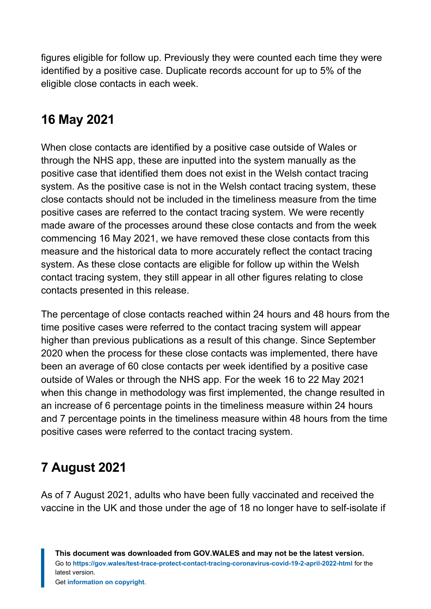figures eligible for follow up. Previously they were counted each time they were identified by a positive case. Duplicate records account for up to 5% of the eligible close contacts in each week.

# **16 May 2021**

When close contacts are identified by a positive case outside of Wales or through the NHS app, these are inputted into the system manually as the positive case that identified them does not exist in the Welsh contact tracing system. As the positive case is not in the Welsh contact tracing system, these close contacts should not be included in the timeliness measure from the time positive cases are referred to the contact tracing system. We were recently made aware of the processes around these close contacts and from the week commencing 16 May 2021, we have removed these close contacts from this measure and the historical data to more accurately reflect the contact tracing system. As these close contacts are eligible for follow up within the Welsh contact tracing system, they still appear in all other figures relating to close contacts presented in this release.

The percentage of close contacts reached within 24 hours and 48 hours from the time positive cases were referred to the contact tracing system will appear higher than previous publications as a result of this change. Since September 2020 when the process for these close contacts was implemented, there have been an average of 60 close contacts per week identified by a positive case outside of Wales or through the NHS app. For the week 16 to 22 May 2021 when this change in methodology was first implemented, the change resulted in an increase of 6 percentage points in the timeliness measure within 24 hours and 7 percentage points in the timeliness measure within 48 hours from the time positive cases were referred to the contact tracing system.

# **7 August 2021**

As of 7 August 2021, adults who have been fully vaccinated and received the vaccine in the UK and those under the age of 18 no longer have to self-isolate if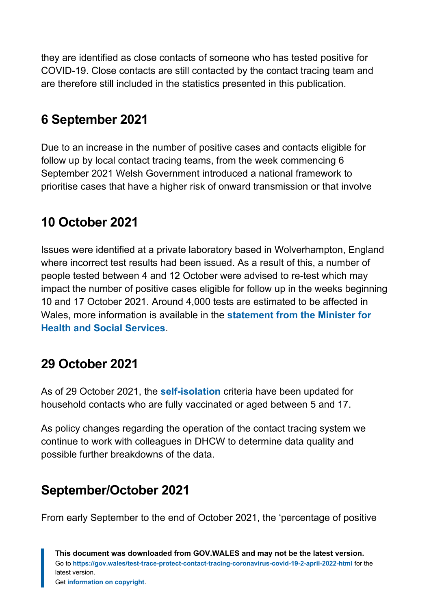they are identified as close contacts of someone who has tested positive for COVID-19. Close contacts are still contacted by the contact tracing team and are therefore still included in the statistics presented in this publication.

### **6 September 2021**

Due to an increase in the number of positive cases and contacts eligible for follow up by local contact tracing teams, from the week commencing 6 September 2021 Welsh Government introduced a national framework to prioritise cases that have a higher risk of onward transmission or that involve

# **10 October 2021**

Issues were identified at a private laboratory based in Wolverhampton, England where incorrect test results had been issued. As a result of this, a number of people tested between 4 and 12 October were advised to re-test which may impact the number of positive cases eligible for follow up in the weeks beginning 10 and 17 October 2021. Around 4,000 tests are estimated to be affected in Wales, more information is available in the **[statement from the Minister for](https://gov.wales/written-statement-has-issued-update-welsh-residents-impacted-incorrect-covid-19-test-results) [Health and Social Services](https://gov.wales/written-statement-has-issued-update-welsh-residents-impacted-incorrect-covid-19-test-results)**.

# **29 October 2021**

As of 29 October 2021, the **[self-isolation](https://gov.wales/self-isolation)** criteria have been updated for household contacts who are fully vaccinated or aged between 5 and 17.

As policy changes regarding the operation of the contact tracing system we continue to work with colleagues in DHCW to determine data quality and possible further breakdowns of the data.

# **September/October 2021**

From early September to the end of October 2021, the 'percentage of positive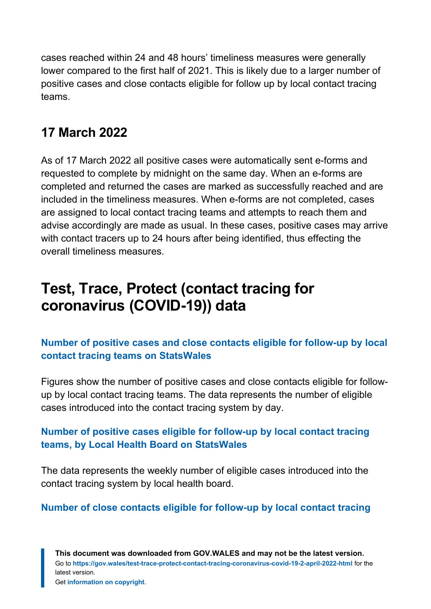cases reached within 24 and 48 hours' timeliness measures were generally lower compared to the first half of 2021. This is likely due to a larger number of positive cases and close contacts eligible for follow up by local contact tracing teams.

### **17 March 2022**

As of 17 March 2022 all positive cases were automatically sent e-forms and requested to complete by midnight on the same day. When an e-forms are completed and returned the cases are marked as successfully reached and are included in the timeliness measures. When e-forms are not completed, cases are assigned to local contact tracing teams and attempts to reach them and advise accordingly are made as usual. In these cases, positive cases may arrive with contact tracers up to 24 hours after being identified, thus effecting the overall timeliness measures.

# <span id="page-12-0"></span>**Test, Trace, Protect (contact tracing for coronavirus (COVID-19)) data**

**[Number of positive cases and close contacts eligible for follow-up by local](https://statswales.gov.wales/Catalogue/Health-and-Social-Care/coronavirus-covid-19/contact-tracing-for-coronavirus-covid-19/numberofpositivecasesandclosecontactseligibleforfollowup-by-localcontacttracingteams) [contact tracing teams on StatsWales](https://statswales.gov.wales/Catalogue/Health-and-Social-Care/coronavirus-covid-19/contact-tracing-for-coronavirus-covid-19/numberofpositivecasesandclosecontactseligibleforfollowup-by-localcontacttracingteams)**

Figures show the number of positive cases and close contacts eligible for followup by local contact tracing teams. The data represents the number of eligible cases introduced into the contact tracing system by day.

#### **[Number of positive cases eligible for follow-up by local contact tracing](https://statswales.gov.wales/Catalogue/Health-and-Social-Care/coronavirus-covid-19/contact-tracing-for-coronavirus-covid-19/numberofpositivecaseseligibleforfollowup-by-localcontacttracingteams-lhb) [teams, by Local Health Board on StatsWales](https://statswales.gov.wales/Catalogue/Health-and-Social-Care/coronavirus-covid-19/contact-tracing-for-coronavirus-covid-19/numberofpositivecaseseligibleforfollowup-by-localcontacttracingteams-lhb)**

The data represents the weekly number of eligible cases introduced into the contact tracing system by local health board.

#### **[Number of close contacts eligible for follow-up by local contact tracing](https://statswales.gov.wales/Catalogue/Health-and-Social-Care/coronavirus-covid-19/contact-tracing-for-coronavirus-covid-19/numberofclosecontactseligibleforfollowup-by-localcontacttracingteams-lhb)**

**This document was downloaded from GOV.WALES and may not be the latest version.** Go to **<https://gov.wales/test-trace-protect-contact-tracing-coronavirus-covid-19-2-april-2022-html>** for the latest version. Get **[information on copyright](https://gov.wales/copyright-statement)**.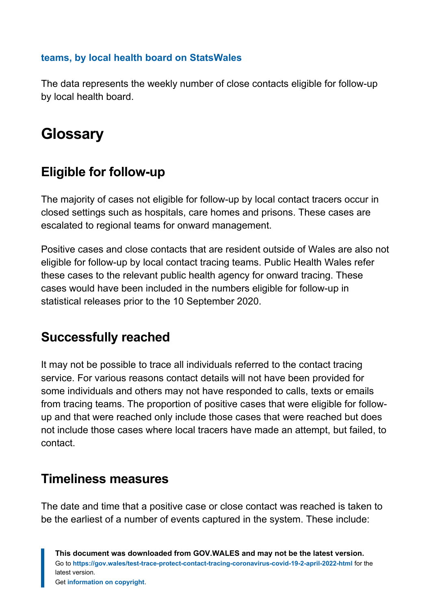#### **[teams, by local health board on StatsWales](https://statswales.gov.wales/Catalogue/Health-and-Social-Care/coronavirus-covid-19/contact-tracing-for-coronavirus-covid-19/numberofclosecontactseligibleforfollowup-by-localcontacttracingteams-lhb)**

The data represents the weekly number of close contacts eligible for follow-up by local health board.

# <span id="page-13-0"></span>**Glossary**

### **Eligible for follow-up**

The majority of cases not eligible for follow-up by local contact tracers occur in closed settings such as hospitals, care homes and prisons. These cases are escalated to regional teams for onward management.

Positive cases and close contacts that are resident outside of Wales are also not eligible for follow-up by local contact tracing teams. Public Health Wales refer these cases to the relevant public health agency for onward tracing. These cases would have been included in the numbers eligible for follow-up in statistical releases prior to the 10 September 2020.

#### **Successfully reached**

It may not be possible to trace all individuals referred to the contact tracing service. For various reasons contact details will not have been provided for some individuals and others may not have responded to calls, texts or emails from tracing teams. The proportion of positive cases that were eligible for followup and that were reached only include those cases that were reached but does not include those cases where local tracers have made an attempt, but failed, to contact.

### **Timeliness measures**

The date and time that a positive case or close contact was reached is taken to be the earliest of a number of events captured in the system. These include: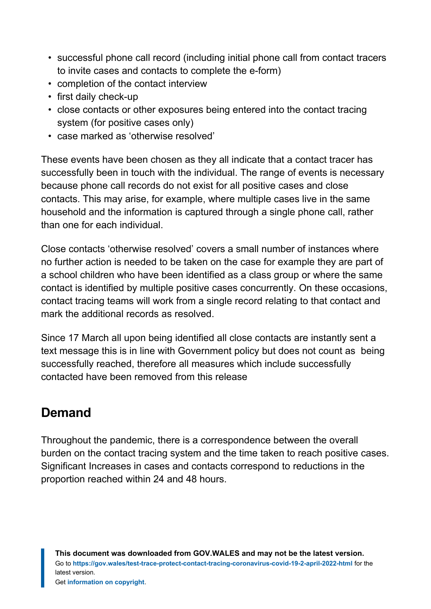- successful phone call record (including initial phone call from contact tracers to invite cases and contacts to complete the e-form)
- completion of the contact interview
- first daily check-up
- close contacts or other exposures being entered into the contact tracing system (for positive cases only)
- case marked as 'otherwise resolved'

These events have been chosen as they all indicate that a contact tracer has successfully been in touch with the individual. The range of events is necessary because phone call records do not exist for all positive cases and close contacts. This may arise, for example, where multiple cases live in the same household and the information is captured through a single phone call, rather than one for each individual.

Close contacts 'otherwise resolved' covers a small number of instances where no further action is needed to be taken on the case for example they are part of a school children who have been identified as a class group or where the same contact is identified by multiple positive cases concurrently. On these occasions, contact tracing teams will work from a single record relating to that contact and mark the additional records as resolved.

Since 17 March all upon being identified all close contacts are instantly sent a text message this is in line with Government policy but does not count as being successfully reached, therefore all measures which include successfully contacted have been removed from this release

# **Demand**

Throughout the pandemic, there is a correspondence between the overall burden on the contact tracing system and the time taken to reach positive cases. Significant Increases in cases and contacts correspond to reductions in the proportion reached within 24 and 48 hours.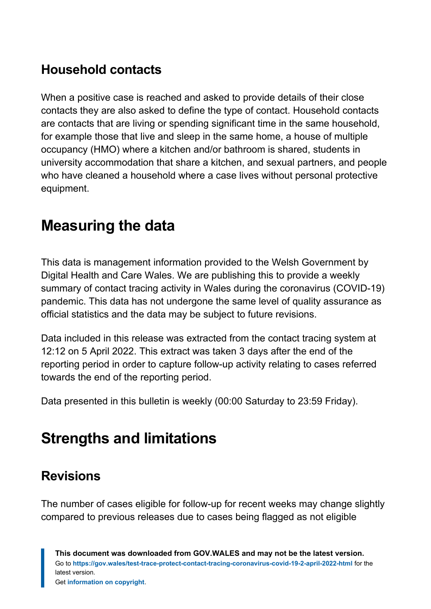# **Household contacts**

When a positive case is reached and asked to provide details of their close contacts they are also asked to define the type of contact. Household contacts are contacts that are living or spending significant time in the same household, for example those that live and sleep in the same home, a house of multiple occupancy (HMO) where a kitchen and/or bathroom is shared, students in university accommodation that share a kitchen, and sexual partners, and people who have cleaned a household where a case lives without personal protective equipment.

# <span id="page-15-0"></span>**Measuring the data**

This data is management information provided to the Welsh Government by Digital Health and Care Wales. We are publishing this to provide a weekly summary of contact tracing activity in Wales during the coronavirus (COVID-19) pandemic. This data has not undergone the same level of quality assurance as official statistics and the data may be subject to future revisions.

Data included in this release was extracted from the contact tracing system at 12:12 on 5 April 2022. This extract was taken 3 days after the end of the reporting period in order to capture follow-up activity relating to cases referred towards the end of the reporting period.

Data presented in this bulletin is weekly (00:00 Saturday to 23:59 Friday).

# <span id="page-15-1"></span>**Strengths and limitations**

# **Revisions**

The number of cases eligible for follow-up for recent weeks may change slightly compared to previous releases due to cases being flagged as not eligible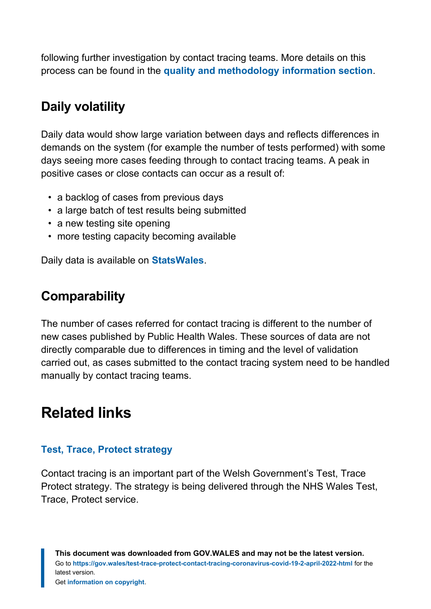following further investigation by contact tracing teams. More details on this process can be found in the **[quality and methodology information section](#page-17-0)**.

# **Daily volatility**

Daily data would show large variation between days and reflects differences in demands on the system (for example the number of tests performed) with some days seeing more cases feeding through to contact tracing teams. A peak in positive cases or close contacts can occur as a result of:

- a backlog of cases from previous days
- a large batch of test results being submitted
- a new testing site opening
- more testing capacity becoming available

Daily data is available on **[StatsWales](https://statswales.gov.wales/Catalogue/Health-and-Social-Care/coronavirus-covid-19/contact-tracing-for-coronavirus-covid-19/numberofpositivecasesandclosecontactseligibleforfollowup-by-localcontacttracingteams)**.

# **Comparability**

The number of cases referred for contact tracing is different to the number of new cases published by Public Health Wales. These sources of data are not directly comparable due to differences in timing and the level of validation carried out, as cases submitted to the contact tracing system need to be handled manually by contact tracing teams.

# <span id="page-16-0"></span>**Related links**

#### **[Test, Trace, Protect strategy](https://gov.wales/test-trace-protect)**

Contact tracing is an important part of the Welsh Government's Test, Trace Protect strategy. The strategy is being delivered through the NHS Wales Test, Trace, Protect service.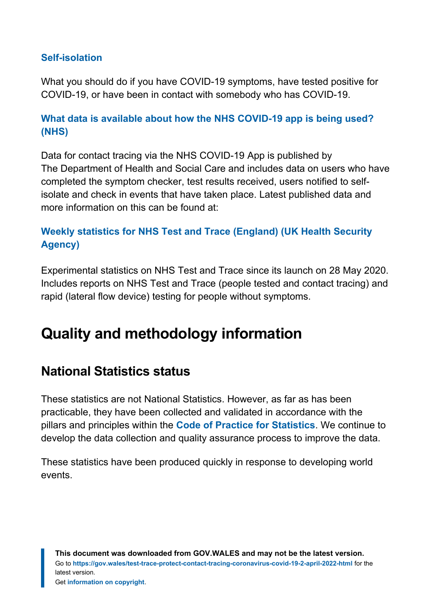#### **[Self-isolation](https://gov.wales/self-isolation)**

What you should do if you have COVID-19 symptoms, have tested positive for COVID-19, or have been in contact with somebody who has COVID-19.

#### **[What data is available about how the NHS COVID-19 app is being used?](https://faq.covid19.nhs.uk/article/KA-01367) [\(NHS\)](https://faq.covid19.nhs.uk/article/KA-01367)**

Data for contact tracing via the NHS COVID-19 App is published by The Department of Health and Social Care and includes data on users who have completed the symptom checker, test results received, users notified to selfisolate and check in events that have taken place. Latest published data and more information on this can be found at:

#### **[Weekly statistics for NHS Test and Trace \(England\) \(UK Health Security](https://www.gov.uk/government/collections/nhs-test-and-trace-statistics-england-weekly-reports) [Agency\)](https://www.gov.uk/government/collections/nhs-test-and-trace-statistics-england-weekly-reports)**

Experimental statistics on NHS Test and Trace since its launch on 28 May 2020. Includes reports on NHS Test and Trace (people tested and contact tracing) and rapid (lateral flow device) testing for people without symptoms.

# <span id="page-17-0"></span>**Quality and methodology information**

### **National Statistics status**

These statistics are not National Statistics. However, as far as has been practicable, they have been collected and validated in accordance with the pillars and principles within the **[Code of Practice for Statistics](https://code.statisticsauthority.gov.uk/)**. We continue to develop the data collection and quality assurance process to improve the data.

These statistics have been produced quickly in response to developing world events.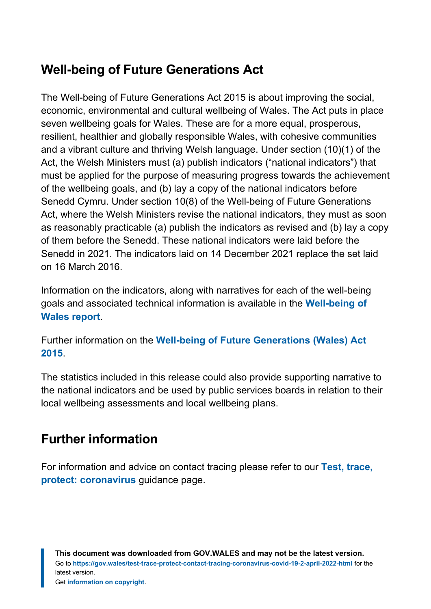# **Well-being of Future Generations Act**

The Well-being of Future Generations Act 2015 is about improving the social, economic, environmental and cultural wellbeing of Wales. The Act puts in place seven wellbeing goals for Wales. These are for a more equal, prosperous, resilient, healthier and globally responsible Wales, with cohesive communities and a vibrant culture and thriving Welsh language. Under section (10)(1) of the Act, the Welsh Ministers must (a) publish indicators ("national indicators") that must be applied for the purpose of measuring progress towards the achievement of the wellbeing goals, and (b) lay a copy of the national indicators before Senedd Cymru. Under section 10(8) of the Well-being of Future Generations Act, where the Welsh Ministers revise the national indicators, they must as soon as reasonably practicable (a) publish the indicators as revised and (b) lay a copy of them before the Senedd. These national indicators were laid before the Senedd in 2021. The indicators laid on 14 December 2021 replace the set laid on 16 March 2016.

Information on the indicators, along with narratives for each of the well-being goals and associated technical information is available in the **[Well-being of](https://gov.wales/wellbeing-wales) [Wales report](https://gov.wales/wellbeing-wales)**.

Further information on the **[Well-being of Future Generations \(Wales\) Act](https://gov.wales/well-being-future-generations-wales-act-2015-guidance) [2015](https://gov.wales/well-being-future-generations-wales-act-2015-guidance)**.

The statistics included in this release could also provide supporting narrative to the national indicators and be used by public services boards in relation to their local wellbeing assessments and local wellbeing plans.

# **Further information**

For information and advice on contact tracing please refer to our **[Test, trace,](https://gov.wales/test-trace-protect-coronavirus) [protect: coronavirus](https://gov.wales/test-trace-protect-coronavirus)** guidance page.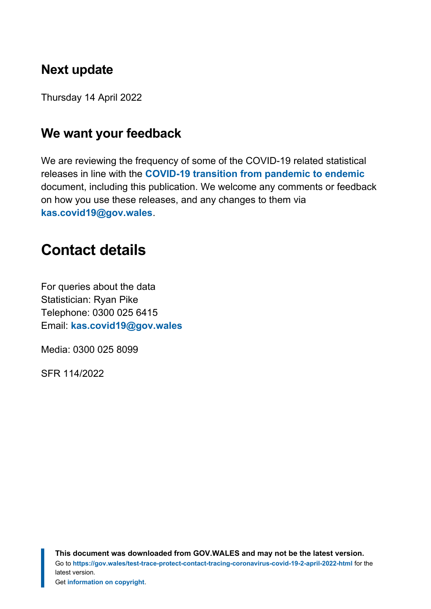### **Next update**

Thursday 14 April 2022

### **We want your feedback**

We are reviewing the frequency of some of the COVID-19 related statistical releases in line with the **[COVID-19 transition from pandemic to endemic](https://gov.wales/wales-long-term-covid-19-transition-pandemic-endemic)** document, including this publication. We welcome any comments or feedback on how you use these releases, and any changes to them via **[kas.covid19@gov.wales](mailto:KAS.COVID19@gov.wales)**.

# <span id="page-19-0"></span>**Contact details**

For queries about the data Statistician: Ryan Pike Telephone: 0300 025 6415 Email: **[kas.covid19@gov.wales](mailto:kas.covid19@gov.wales)**

Media: 0300 025 8099

SFR 114/2022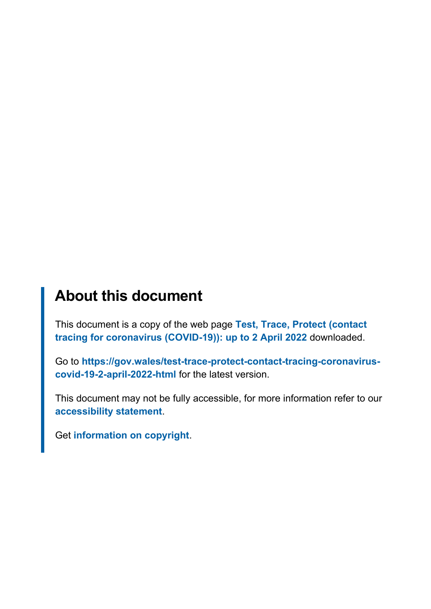# **About this document**

This document is a copy of the web page **[Test, Trace, Protect \(contact](https://gov.wales/test-trace-protect-contact-tracing-coronavirus-covid-19-2-april-2022-html) [tracing for coronavirus \(COVID-19\)\): up to 2 April 2022](https://gov.wales/test-trace-protect-contact-tracing-coronavirus-covid-19-2-april-2022-html)** downloaded.

Go to **[https://gov.wales/test-trace-protect-contact-tracing-coronavirus](https://gov.wales/test-trace-protect-contact-tracing-coronavirus-covid-19-2-april-2022-html)[covid-19-2-april-2022-html](https://gov.wales/test-trace-protect-contact-tracing-coronavirus-covid-19-2-april-2022-html)** for the latest version.

This document may not be fully accessible, for more information refer to our **[accessibility statement](https://gov.wales/accessibility-statement-govwales)**.

Get **[information on copyright](https://gov.wales/copyright-statement)**.